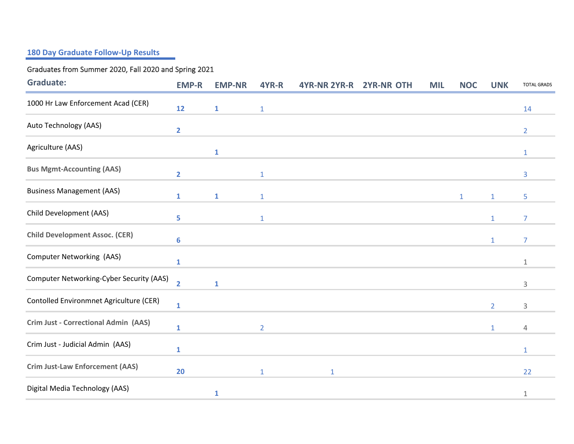## **180 Day Graduate Follow-Up Results**

## Graduates from Summer 2020, Fall 2020 and Spring 2021

| <b>Graduate:</b>                            | <b>EMP-R</b>            | <b>EMP-NR</b> | 4YR-R          | 4YR-NR 2YR-R | <b>2YR-NR OTH</b> | <b>MIL</b> | <b>NOC</b>   | <b>UNK</b>     | <b>TOTAL GRADS</b> |
|---------------------------------------------|-------------------------|---------------|----------------|--------------|-------------------|------------|--------------|----------------|--------------------|
| 1000 Hr Law Enforcement Acad (CER)          | 12                      | $\mathbf{1}$  | $\mathbf{1}$   |              |                   |            |              |                | 14                 |
| Auto Technology (AAS)                       | $\overline{\mathbf{2}}$ |               |                |              |                   |            |              |                | $\overline{2}$     |
| Agriculture (AAS)                           |                         | $\mathbf{1}$  |                |              |                   |            |              |                | $\mathbf{1}$       |
| <b>Bus Mgmt-Accounting (AAS)</b>            | $\overline{2}$          |               | $\mathbf{1}$   |              |                   |            |              |                | 3                  |
| <b>Business Management (AAS)</b>            | $\mathbf{1}$            | $\mathbf{1}$  | $\mathbf{1}$   |              |                   |            | $\mathbf{1}$ | $\mathbf{1}$   | 5                  |
| Child Development (AAS)                     | 5                       |               | $1\,$          |              |                   |            |              | $\mathbf{1}$   | 7                  |
| <b>Child Development Assoc. (CER)</b>       | 6                       |               |                |              |                   |            |              | $\mathbf{1}$   | 7                  |
| Computer Networking (AAS)                   | $\mathbf{1}$            |               |                |              |                   |            |              |                | $\mathbf 1$        |
| Computer Networking-Cyber Security (AAS)    | $\overline{2}$          | $\mathbf{1}$  |                |              |                   |            |              |                | 3                  |
| Contolled Environmnet Agriculture (CER)     | 1                       |               |                |              |                   |            |              | $\overline{2}$ | 3                  |
| <b>Crim Just - Correctional Admin (AAS)</b> | $\mathbf{1}$            |               | $\overline{2}$ |              |                   |            |              | $\mathbf{1}$   | $\overline{4}$     |
| Crim Just - Judicial Admin (AAS)            | $\mathbf{1}$            |               |                |              |                   |            |              |                | $\mathbf{1}$       |
| <b>Crim Just-Law Enforcement (AAS)</b>      | 20                      |               | $1\,$          | $\mathbf{1}$ |                   |            |              |                | 22                 |
| Digital Media Technology (AAS)              |                         | 1             |                |              |                   |            |              |                | $\mathbf 1$        |
|                                             |                         |               |                |              |                   |            |              |                |                    |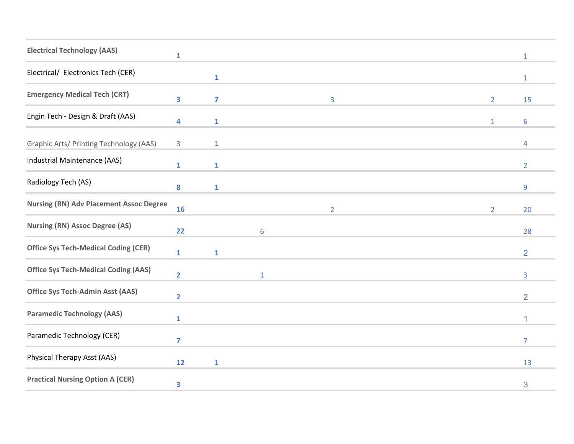| <b>Electrical Technology (AAS)</b>             | $\mathbf{1}$            |                |                 |                |  |                | $\mathbf{1}$   |
|------------------------------------------------|-------------------------|----------------|-----------------|----------------|--|----------------|----------------|
| Electrical/ Electronics Tech (CER)             |                         | $\mathbf{1}$   |                 |                |  |                | $\mathbf{1}$   |
| <b>Emergency Medical Tech (CRT)</b>            | 3                       | $\overline{7}$ |                 | 3              |  | $\overline{2}$ | 15             |
| Engin Tech - Design & Draft (AAS)              | 4                       | $\mathbf{1}$   |                 |                |  | $\mathbf{1}$   | 6              |
| Graphic Arts/ Printing Technology (AAS)        | 3                       | $\mathbf{1}$   |                 |                |  |                | $\overline{4}$ |
| Industrial Maintenance (AAS)                   | $\mathbf{1}$            | $\mathbf{1}$   |                 |                |  |                | $\overline{2}$ |
| Radiology Tech (AS)                            | 8                       | $\mathbf{1}$   |                 |                |  |                | 9              |
| <b>Nursing (RN) Adv Placement Assoc Degree</b> | 16                      |                |                 | $\overline{2}$ |  | $\overline{2}$ | 20             |
| <b>Nursing (RN) Assoc Degree (AS)</b>          | 22                      |                | $6\phantom{1}6$ |                |  |                | 28             |
| <b>Office Sys Tech-Medical Coding (CER)</b>    | $\mathbf{1}$            | $\mathbf{1}$   |                 |                |  |                | $\overline{2}$ |
| <b>Office Sys Tech-Medical Coding (AAS)</b>    | $\overline{\mathbf{2}}$ |                | $\mathbf 1$     |                |  |                | 3              |
| <b>Office Sys Tech-Admin Asst (AAS)</b>        | $\overline{2}$          |                |                 |                |  |                | $\overline{2}$ |
| <b>Paramedic Technology (AAS)</b>              | $\mathbf{1}$            |                |                 |                |  |                | 1              |
| Paramedic Technology (CER)                     | $\overline{7}$          |                |                 |                |  |                | 7              |
| Physical Therapy Asst (AAS)                    | 12                      | $\mathbf{1}$   |                 |                |  |                | 13             |
| <b>Practical Nursing Option A (CER)</b>        | 3                       |                |                 |                |  |                | 3              |